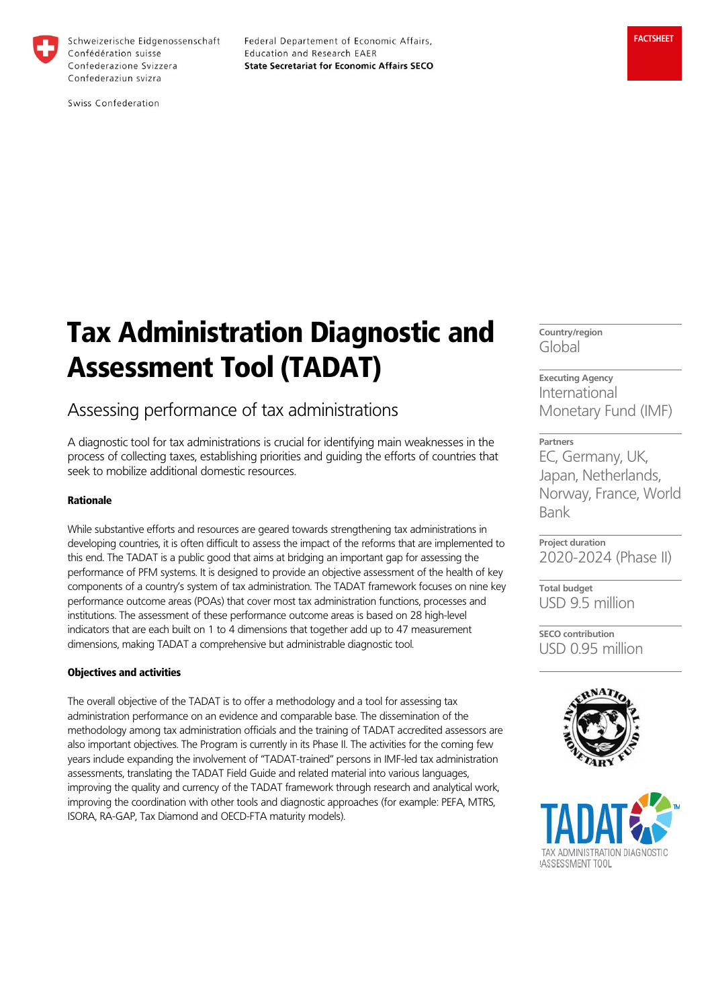

Schweizerische Eidgenossenschaft Confédération suisse Confederazione Svizzera Confederaziun svizra

Federal Departement of Economic Affairs, Education and Research EAER **State Secretariat for Economic Affairs SECO** 

Swiss Confederation

# Tax Administration Diagnostic and Assessment Tool (TADAT)

# Assessing performance of tax administrations

A diagnostic tool for tax administrations is crucial for identifying main weaknesses in the process of collecting taxes, establishing priorities and guiding the efforts of countries that seek to mobilize additional domestic resources.

# Rationale

While substantive efforts and resources are geared towards strengthening tax administrations in developing countries, it is often difficult to assess the impact of the reforms that are implemented to this end. The TADAT is a public good that aims at bridging an important gap for assessing the performance of PFM systems. It is designed to provide an objective assessment of the health of key components of a country's system of tax administration. The TADAT framework focuses on nine key performance outcome areas (POAs) that cover most tax administration functions, processes and institutions. The assessment of these performance outcome areas is based on 28 high-level indicators that are each built on 1 to 4 dimensions that together add up to 47 measurement dimensions, making TADAT a comprehensive but administrable diagnostic tool.

# Objectives and activities

The overall objective of the TADAT is to offer a methodology and a tool for assessing tax administration performance on an evidence and comparable base. The dissemination of the methodology among tax administration officials and the training of TADAT accredited assessors are also important objectives. The Program is currently in its Phase II. The activities for the coming few years include expanding the involvement of "TADAT-trained" persons in IMF-led tax administration assessments, translating the TADAT Field Guide and related material into various languages, improving the quality and currency of the TADAT framework through research and analytical work, improving the coordination with other tools and diagnostic approaches (for example: PEFA, MTRS, ISORA, RA-GAP, Tax Diamond and OECD-FTA maturity models).

**Country/region** Global

**Executing Agency** International Monetary Fund (IMF)

**Partners**  EC, Germany, UK, Japan, Netherlands, Norway, France, World Bank

**Project duration** 2020-2024 (Phase II)

**Total budget** USD 9.5 million

**SECO contribution** USD 0.95 million